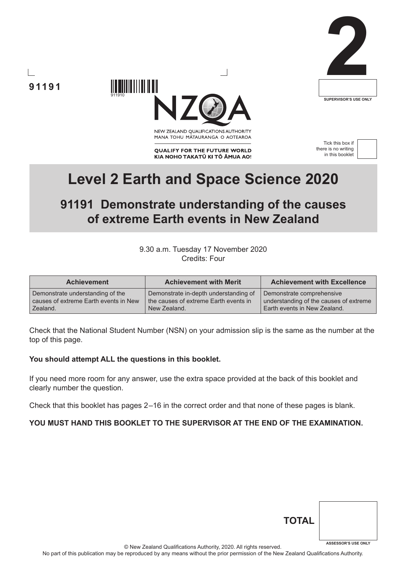





NEW ZEALAND OUALIFICATIONS AUTHORITY MANA TOHU MĀTAURANGA O AOTEAROA

**QUALIFY FOR THE FUTURE WORLD** KIA NOHO TAKATŪ KI TŌ ĀMUA AO!

Tick this box if there is no writing in this booklet



# **Level 2 Earth and Space Science 2020**

# **91191 Demonstrate understanding of the causes of extreme Earth events in New Zealand**

9.30 a.m. Tuesday 17 November 2020 Credits: Four

| <b>Achievement</b>                    | <b>Achievement with Merit</b>         | <b>Achievement with Excellence</b>     |
|---------------------------------------|---------------------------------------|----------------------------------------|
| Demonstrate understanding of the      | Demonstrate in-depth understanding of | Demonstrate comprehensive              |
| causes of extreme Earth events in New | the causes of extreme Earth events in | understanding of the causes of extreme |
| Zealand.                              | New Zealand.                          | Earth events in New Zealand.           |

Check that the National Student Number (NSN) on your admission slip is the same as the number at the top of this page.

#### **You should attempt ALL the questions in this booklet.**

911910

If you need more room for any answer, use the extra space provided at the back of this booklet and clearly number the question.

Check that this booklet has pages 2 –16 in the correct order and that none of these pages is blank.

#### **YOU MUST HAND THIS BOOKLET TO THE SUPERVISOR AT THE END OF THE EXAMINATION.**

| <b>TOTAL</b> |                            |
|--------------|----------------------------|
|              | <b>ASSESSOR'S USE ONLY</b> |

© New Zealand Qualifications Authority, 2020. All rights reserved.

No part of this publication may be reproduced by any means without the prior permission of the New Zealand Qualifications Authority.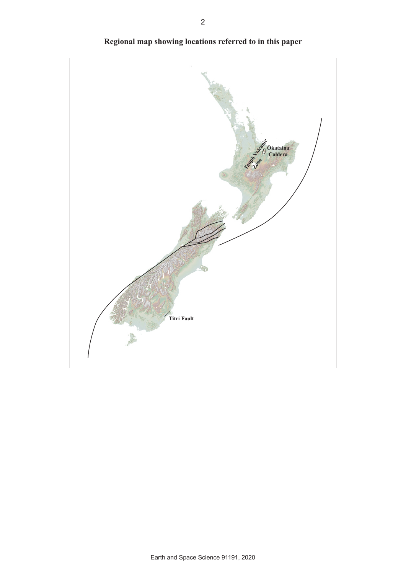

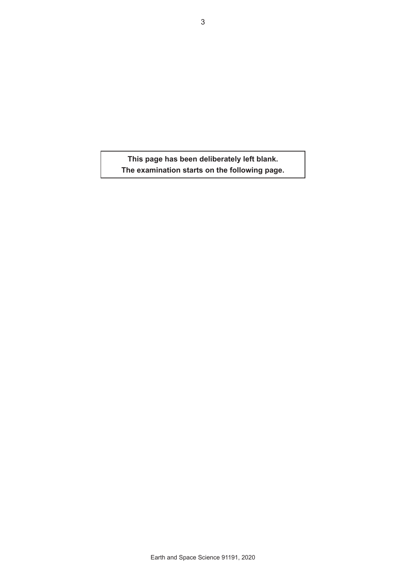**This page has been deliberately left blank. The examination starts on the following page.**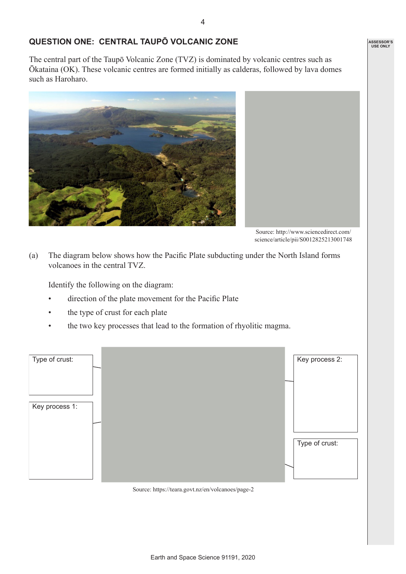4

# **QUESTION ONE: CENTRAL TAUPŌ VOLCANIC ZONE**

The central part of the Taupō Volcanic Zone (TVZ) is dominated by volcanic centres such as Ōkataina (OK). These volcanic centres are formed initially as calderas, followed by lava domes such as Haroharo.

Source: http://www.sciencedirect.com/

science/article/pii/S0012825213001748

(a) The diagram below shows how the Pacific Plate subducting under the North Island forms volcanoes in the central TVZ.

Identify the following on the diagram:

- direction of the plate movement for the Pacific Plate
- the type of crust for each plate
- the two key processes that lead to the formation of rhyolitic magma.

| Type of crust: |                                                   | Key process 2: |
|----------------|---------------------------------------------------|----------------|
| Key process 1: |                                                   |                |
|                |                                                   | Type of crust: |
|                | Source: https://teara.govt.nz/en/volcanoes/page-2 |                |



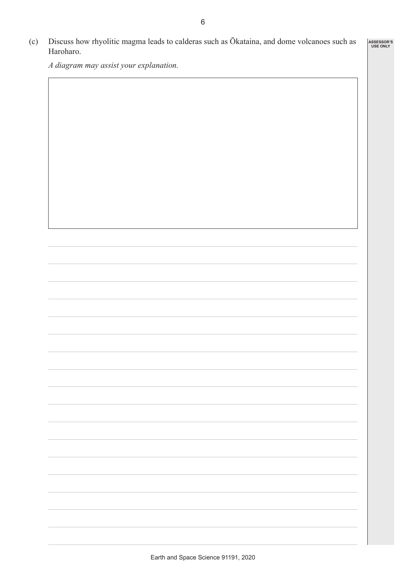(c) Discuss how rhyolitic magma leads to calderas such as Ōkataina, and dome volcanoes such as Haroharo. **ASSESSOR'S USE ONLY**

*A diagram may assist your explanation.*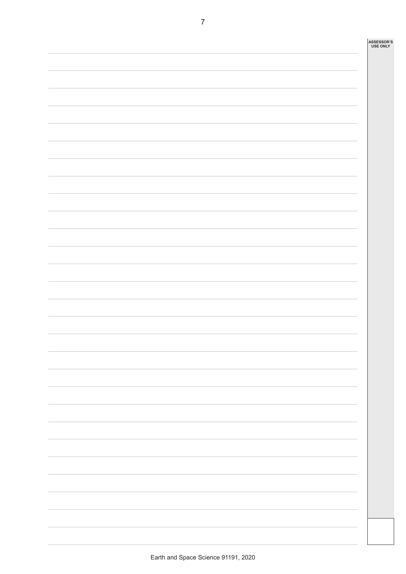| ASSESSOR'S<br>USE ONLY |
|------------------------|
|                        |
|                        |
|                        |
|                        |
|                        |
|                        |
|                        |
|                        |
|                        |
|                        |
|                        |
|                        |
|                        |
|                        |
|                        |
|                        |
|                        |
|                        |
|                        |
|                        |
|                        |
|                        |
|                        |
|                        |
|                        |
|                        |
|                        |
|                        |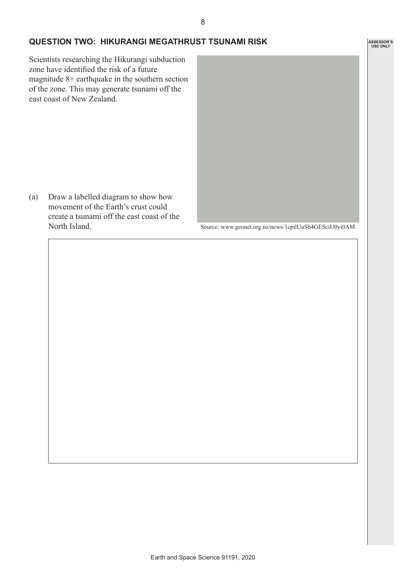## **QUESTION TWO: HIKURANGI MEGATHRUST TSUNAMI RISK**

Scientists researching the Hikurangi subduction zone have identified the risk of a future magnitude 8+ earthquake in the southern section of the zone. This may generate tsunami off the east coast of New Zealand.

(a) Draw a labelled diagram to show how movement of the Earth's crust could create a tsunami off the east coast of the North Island. Source: www.geonet.org.nz/news/1cpilUuSb4GESciU0yi0AM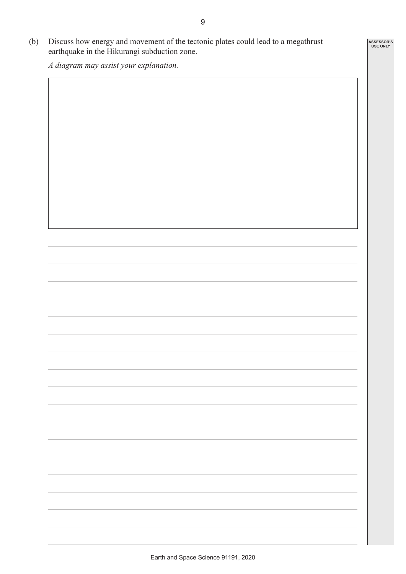(b) Discuss how energy and movement of the tectonic plates could lead to a megathrust earthquake in the Hikurangi subduction zone.

*A diagram may assist your explanation.*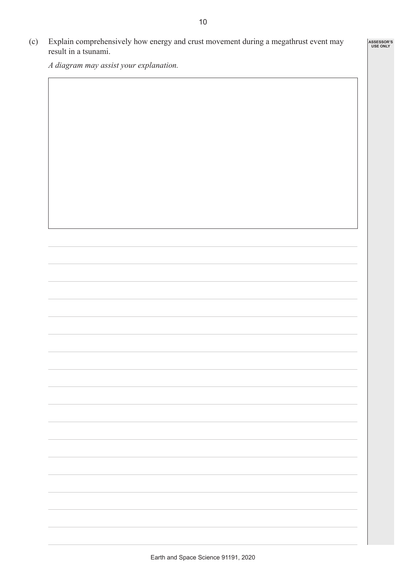(c) Explain comprehensively how energy and crust movement during a megathrust event may result in a tsunami.

*A diagram may assist your explanation.*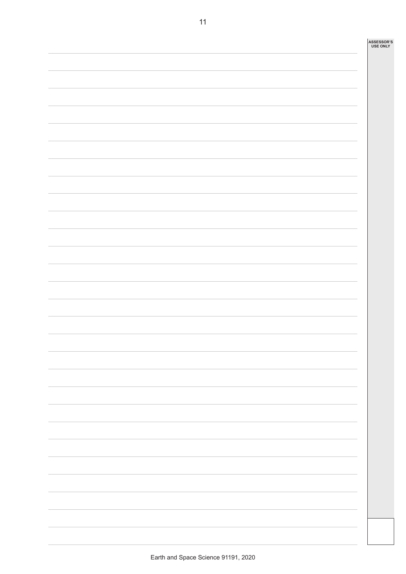| ASSESSOR'S<br>USE ONLY |
|------------------------|
|                        |
|                        |
|                        |
|                        |
|                        |
|                        |
|                        |
|                        |
|                        |
|                        |
|                        |
|                        |
|                        |
|                        |
|                        |
|                        |
|                        |
|                        |
|                        |
|                        |
|                        |
|                        |
|                        |
|                        |
|                        |
|                        |
|                        |
|                        |
|                        |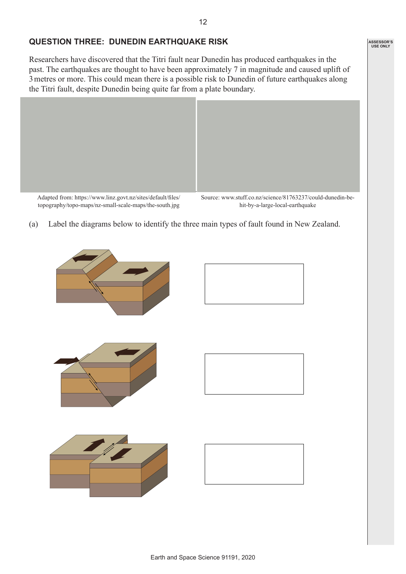# **QUESTION THREE: DUNEDIN EARTHQUAKE RISK**

Researchers have discovered that the Titri fault near Dunedin has produced earthquakes in the past. The earthquakes are thought to have been approximately 7 in magnitude and caused uplift of 3metres or more. This could mean there is a possible risk to Dunedin of future earthquakes along the Titri fault, despite Dunedin being quite far from a plate boundary.



Adapted from: https://www.linz.govt.nz/sites/default/files/ topography/topo-maps/nz-small-scale-maps/the-south.jpg

Source: www.stuff.co.nz/science/81763237/could-dunedin-behit-by-a-large-local-earthquake

(a) Label the diagrams below to identify the three main types of fault found in New Zealand.

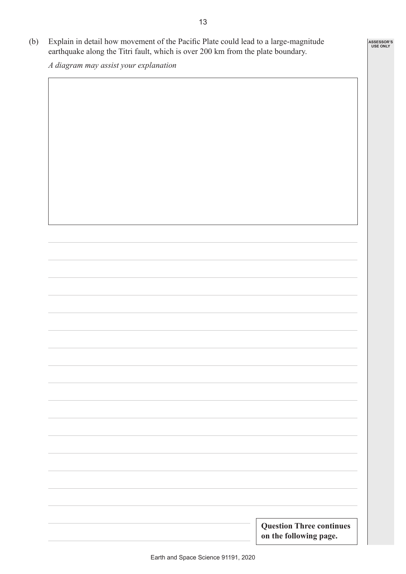(b) Explain in detail how movement of the Pacific Plate could lead to a large-magnitude earthquake along the Titri fault, which is over 200 km from the plate boundary.

*A diagram may assist your explanation*

| <b>Question Three continues</b> |
|---------------------------------|
| on the following page.          |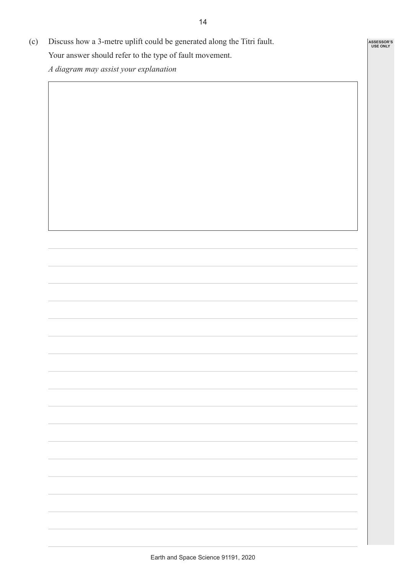**ASSESSOR'S USE ONLY**

(c) Discuss how a 3-metre uplift could be generated along the Titri fault. Your answer should refer to the type of fault movement. *A diagram may assist your explanation*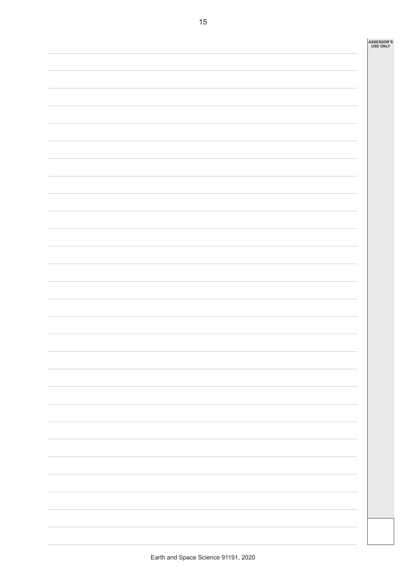| $\cdot$ $\sim$ |                        |
|----------------|------------------------|
|                |                        |
|                | ASSESSOR'S<br>USE ONLY |
|                |                        |
|                |                        |
|                |                        |
|                |                        |
|                |                        |
|                |                        |
|                |                        |
|                |                        |
|                |                        |
|                |                        |
|                |                        |
|                |                        |
|                |                        |
|                |                        |
|                |                        |
|                |                        |
|                |                        |
|                |                        |
|                |                        |
|                |                        |
|                |                        |
|                |                        |
|                |                        |
|                |                        |
|                |                        |
|                |                        |
|                |                        |
|                |                        |
|                |                        |
|                |                        |
|                |                        |
|                |                        |
|                |                        |
|                |                        |
|                |                        |
|                |                        |
|                |                        |
|                |                        |
|                |                        |
|                |                        |
|                |                        |
|                |                        |
|                |                        |
|                |                        |
|                |                        |
|                |                        |
|                |                        |
|                |                        |
|                |                        |
|                |                        |
|                |                        |
|                |                        |
|                |                        |
|                |                        |
|                |                        |
|                |                        |
|                |                        |
|                |                        |
|                |                        |
|                |                        |
|                |                        |
|                |                        |
|                |                        |
|                |                        |
|                |                        |
|                |                        |
|                |                        |
|                |                        |
|                |                        |